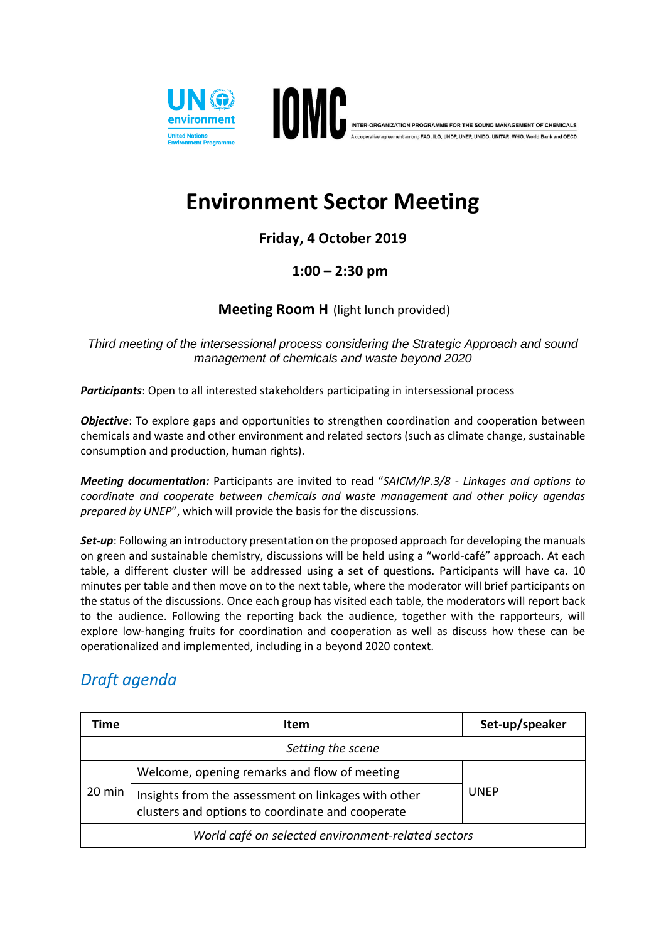



ng FAO. ILO, UNDP, UNEP, UNIDO, UNITAR, WHO, World Bank and OECD

# **Environment Sector Meeting**

### **Friday, 4 October 2019**

#### **1:00 – 2:30 pm**

#### **Meeting Room H** (light lunch provided)

*Third meeting of the intersessional process considering the Strategic Approach and sound management of chemicals and waste beyond 2020*

*Participants*: Open to all interested stakeholders participating in intersessional process

*Objective*: To explore gaps and opportunities to strengthen coordination and cooperation between chemicals and waste and other environment and related sectors (such as climate change, sustainable consumption and production, human rights).

*Meeting documentation:* Participants are invited to read "*SAICM/IP.3/8 - Linkages and options to coordinate and cooperate between chemicals and waste management and other policy agendas prepared by UNEP*", which will provide the basis for the discussions.

**Set-up**: Following an introductory presentation on the proposed approach for developing the manuals on green and sustainable chemistry, discussions will be held using a "world-café" approach. At each table, a different cluster will be addressed using a set of questions. Participants will have ca. 10 minutes per table and then move on to the next table, where the moderator will brief participants on the status of the discussions. Once each group has visited each table, the moderators will report back to the audience. Following the reporting back the audience, together with the rapporteurs, will explore low-hanging fruits for coordination and cooperation as well as discuss how these can be operationalized and implemented, including in a beyond 2020 context.

## *Draft agenda*

| Time                                               | <b>Item</b>                                                                                             | Set-up/speaker |  |
|----------------------------------------------------|---------------------------------------------------------------------------------------------------------|----------------|--|
|                                                    | Setting the scene                                                                                       |                |  |
| 20 min                                             | Welcome, opening remarks and flow of meeting                                                            | <b>UNEP</b>    |  |
|                                                    | Insights from the assessment on linkages with other<br>clusters and options to coordinate and cooperate |                |  |
| World café on selected environment-related sectors |                                                                                                         |                |  |